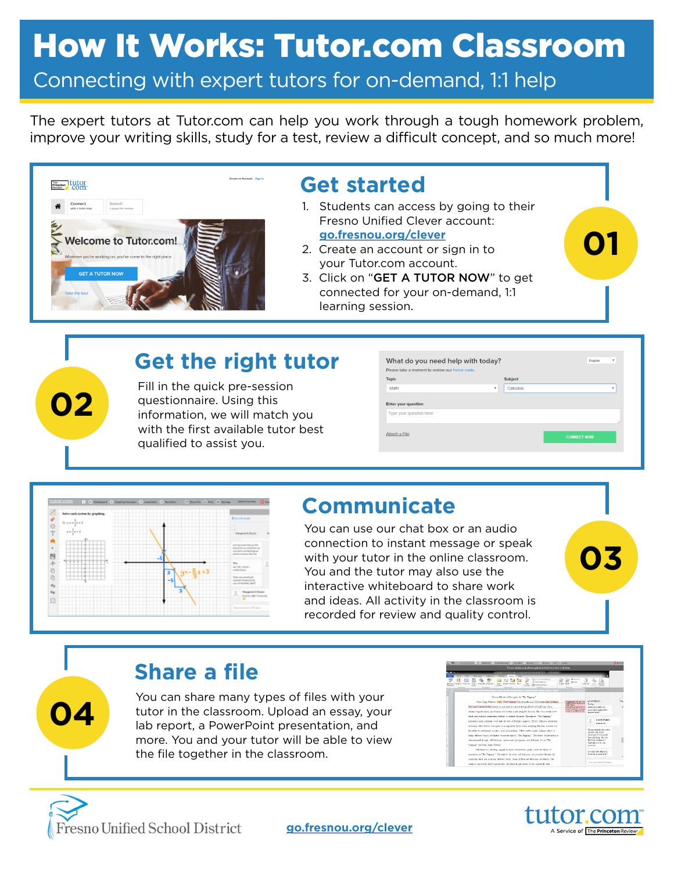# How It Works: Tutor.com Classroom

Connecting with expert tutors for on-demand, 1:1 help

The expert tutors at Tutor.com can help you work through a tough homework problem, improve your writing skills, study for a test, review a difficult concept, and so much more!



**02**

**04**

## **Get started**

- 1. Students can access by going to their Fresno Unified Clever account: **[go.fresnou.org/clever](http://go.fresnou.org/clever)**
- 2. Create an account or sign in to your Tutor.com account.
- 3. Click on "GET A TUTOR NOW" to get connected for your on-demand, 1:1 learning session.

## **Get the right tutor**

Fill in the quick pre-session questionnaire. Using this information, we will match you with the first available tutor best qualified to assist you.

| Please take a moment to review our honor code. |                |    |
|------------------------------------------------|----------------|----|
| <b>Topic</b>                                   | <b>Subject</b> |    |
| Math                                           | Calculus<br>۷  | ۰  |
|                                                |                | 11 |
|                                                |                |    |
| Attach a File                                  |                |    |



#### **Communicate**

You can use our chat box or an audio connection to instant message or speak with your tutor in the online classroom. You and the tutor may also use the interactive whiteboard to share work and ideas. All activity in the classroom is recorded for review and quality control.

### **Share a file**

You can share many types of files with your tutor in the classroom. Upload an essay, your lab report, a PowerPoint presentation, and more. You and your tutor will be able to view the file together in the classroom.





**03**

**01**

**Fresno Unified School District** 

 **[go.fresnou.org/clever](http://go.fresnou.org/clever)**